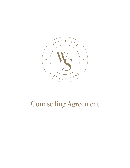

# Counselling Agreement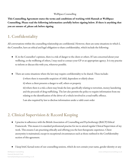#### WellSpace Counselling

**This Counselling Agreement states the terms and conditions of working with Hannah at WellSpace Counselling. Please read the following information carefully before signing below. If there is anything that you are unsure of, please ask before signing**

# 1. Confidentiality

All conversations within the counselling relationship are confidential. However, there are some situations in which I, the Counsellor, have an ethical and legal obligation to share confidentiality, which include the following:

- If, in the Counsellor's opinion, there is a risk of danger to the client or others. If I am concerned about your wellbeing, or the wellbeing of others, I may need to contact your GP or an appropriate agency. It is my practise to inform or discuss this with you, wherever possible.
- There are some situations where the law may require confidentiality to be shared. These include:

i) where there is reasonable suspicion of child, dependent or elderly abuse

ii) where a client presents a danger to self, others or property

iii) where there is a risk a client may break the law; specifically relating to terrorism, money laundering and the proceeds of drug trafficking. The law also permits the police to require information from me relating to the identification of the driver of a vehicle involved in a road traffic offence.

I am also required by law to disclose information under a valid court order

#### 2. Clinical Supervision & Record Keeping

- I practise in adherence with the British Association of Counselling and Psychotherapy (BACP) Ethical Framework. This means it is standard professional practise for me to attend regular Clinical Supervision of my work. This ensures I am practising ethically and offering you the best therapeutic experience. Client anonymity is maintained, except in exceptional circumstances such as those outlined in the Confidentiality section of this agreement.
- I keep brief, factual notes of our counselling sessions, which do not contain your name, gender identity or any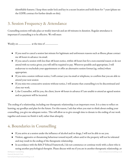identifiable features. I keep these under lock and key in a secure location and hold them for 7 years (please see the GDPR contract for further details on this).

#### 3. Session Frequency & Attendance

Counselling sessions will take place at weekly intervals and are 60 minutes in duration. Regular attendance is important if counselling is to be effective. We will meet:

Weekly on ………………… at the time of ………………....

- If you need to cancel a session last minute for legitimate and unforeseen reasons such as illness; please contact me 48 hours in advance via email.
- If you cancel a session with less than 48 hours notice, within 48 hours but for a non-essential reason or do not attend with no notice given; you will still be required to pay. Wherever possible and appropriate, I will endeavour to reschedule your appointment or offer an alternative session format (eg. online) where appropriate.
- If you miss a session without notice, I will contact you via email or telephone, to confirm that you are able to attend your next session
- If you miss two consecutive sessions without notice, I will assume that counselling is to be discontinued and close our work.
- I, the Counsellor, will let you, the client, know 48 hours in advance if I am unable to attend an agreed session and no payment will be incurred.

The ending of a relationship, including our therapeutic relationship; is an important event. It is a time to reflect on learning, say goodbye and plan for the future. For this reason, I ask that when you start to think about ending your counselling, you give me adequate notice. This will allow us to give enough time to donate to the ending of our work together and ensure we finish it well, rather than abruptly.

# 4. Boundaries in Counselling

- If you arrive at a session under the influence of alcohol and/or drugs, I will not be able to see you.
- Violent, aggressive or threatening behaviour toward myself, others and/or the property will not be tolerated and may result in the ending of the therapeutic relationship.
- In accordance with the BACP Ethical Framework, I do not commence or continue work with a client who is seeing another psychological therapist. Please discuss with me if you are in another therapeutic relationship, or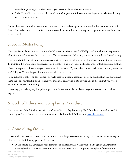considering moving to another therapist; so we can make suitable arrangements.

● I, the Counsellor, reserve the right to end counselling sessions if I have reasonable grounds to believe that any of the above are the case.

Contact between counselling sessions will be limited to practical arrangements and need-to-know information only. Personal materials should be kept for the next session. I am not able to accept requests, or private messages from clients on social media.

### 5. Social Media Policy

I have professional social media accounts which I use as a marketing tool for WellSpace Counselling and to provide education and information about how I work. You are welcome to follow me, but please be mindful of the following:

- It is important that what I know about you is what you choose to tell me within the safe environment of our sessions. To maintain this professional boundaries, I do not follow clients on social media platforms, or look at client's profiles.

- I cannot respond to direct messages or comments from clients. If you need to contact me between sessions, please use my WellSpace Counselling email address or website contact form

- If you choose to follow or 'like' content on WellSpace Counselling accounts, please be mindful that this may impact the therapeutic relationship and potentially your confidentiality (eg. if others were able to discern that you were a client of WellSpace Counselling).

I encourage you to bring anything that impacts you in terms of social media use, to your sessions, for us to discuss together.

# 6. Code of Ethics and Complaints Procedure

I am a member of the British Association for Counselling and Psychotherapy (BACP). All my counselling work is bound by its Ethical Framework, the latest copy is available on the BACP website: www.bacp.co.uk

# 7. Counselling Online

It may be that we need or choose to conduct some counselling sessions online during the course of our work together. Please refer to the following guidance in this case:

● Please ensure that you secure your computer or smartphone, as well as your emails, against unauthorised viewing by third parties. It is recommended that you use a private computer/smartphone for your online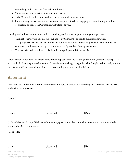counselling, rather than one for work or public use.

- Please ensure your anti-viral protection is up to date.
- I, the Counsellor, will ensure my devices are secure at all times, as above
- Should we experience technical difficulties which prevent us from engaging in, or continuing an online counselling session, I, the Counsellor, will telephone you.

Creating a suitable environment for online counselling can improve the process and your experience:

- Turn off other devices (such as tablets, phone, TV) during the session to minimise distractions
- Set up a space where you can sit comfortably for the duration of the session, preferably with your device supported hands-free and set up so your remain clearly visible with adequate lighting
- You may wish to have a drink available and a notepad, pen and tissues nearby

After a session, it can be useful to take some time to adjust back to life around you and into your usual headspace; as you would do during a journey home from face-to-face counselling. It might be helpful to plan a short walk, or some time for yourself after an online session, before continuing with your usual activities.

# Agreement

I have read and understood the above information and agree to undertake counselling in accordance with the terms outlined in this Agreement

**[Client]**

[Name]

[Signature]

[Date]

\_\_\_\_\_\_\_\_\_\_\_\_\_\_\_\_\_\_\_\_\_\_\_\_\_\_

\_\_\_\_\_\_\_\_\_\_\_\_\_\_\_\_\_\_\_\_\_\_\_\_\_\_

I, Hannah Beckett-Pratt, of WellSpace Counselling, agree to provide a counselling service in accordance with the terms outlined in this Agreement.

\_\_\_\_\_\_\_\_\_\_\_\_\_\_\_\_\_\_\_\_\_\_\_\_\_\_

\_\_\_\_\_\_\_\_\_\_\_\_\_\_\_\_\_\_\_\_\_\_\_\_\_\_

**[Counsellor]**

[Name]

[Signature]

[Date]

Hannah Beckett-Pratt hannah@wellspacecounselling.co.uk

\_\_\_\_\_\_\_\_\_\_\_\_\_\_\_\_\_\_\_\_\_\_\_\_\_\_

\_\_\_\_\_\_\_\_\_\_\_\_\_\_\_\_\_\_\_\_\_\_\_\_\_\_

WellSpace Counselling www.wellspacecounselling.co.uk